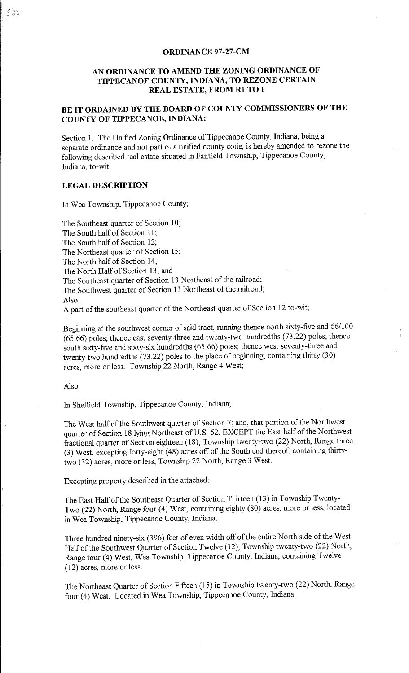#### **ORDINANCE 97-27-CM**

# **AN ORDINANCE TO AMEND THE ZONING ORDINANCE OF TIPPECANOE COUNTY, INDIANA, TO REZONE CERTAIN REAL ESTATE, FROM Rl TO I**

# **BE IT ORDAINED BY THE BOARD OF COUNTY COMMISSIONERS OF THE COUNTY OF TIPPECANOE, INDIANA:**

Section 1. The Unified Zoning Ordinance of Tippecanoe County, Indiana, being a separate ordinance and not part of a unified county code, is hereby amended to rezone the following described real estate situated in Fairfield Township, Tippecanoe County, Indiana, to-wit:

## **LEGAL DESCRIPTION**

In Wea Township, Tippecanoe County;

The Southeast quarter of Section 10; The South half of Section 11; The South half of Section 12; The Northeast quarter of Section 15; The North half of Section 14; The North Half of Section 13; and The Southeast quarter of Section 13 Northeast of the railroad; The Southwest quarter of Section 13 Northeast of the railroad; Also:

A part of the southeast quarter of the Northeast quarter of Section 12 to-wit;

Beginning at the southwest corner of said tract, running thence north sixty-five and 66/100 (65.66) poles; thence east seventy-three and twenty-two hundredths (73.22) poles; thence south sixty-five and sixty-six hundredths (65.66) poles; thence west seventy-three and twenty-two hundredths (73.22) poles to the place of beginning, containing thirty (30) acres, more or less. Township 22 North, Range 4 West;

#### Also

In Sheffield Township, Tippecanoe County, Indiana;

The West half of the Southwest quarter of Section 7; and, that portion of the Northwest quarter of Section 18 lying Northeast of U.S. 52, EXCEPT the East half of the Northwest fractional quarter of Section eighteen (18), Township twenty-two (22) North, Range three (3) West, excepting forty-eight (48) acres off of the South end thereof, containing thirtytwo (32) acres, more or less, Township 22 North, Range 3 West.

Excepting property described in the attached:

The East Half of the Southeast Quarter of Section Thirteen (13) in Township Twenty-Two (22) North, Range four (4) West, containing eighty (80) acres, more or less, located in Wea Township, Tippecanoe County, Indiana.

Three hundred ninety-six (3 96) feet of even width off of the entire North side of the West Half of the Southwest Quarter of Section Twelve (12), Township twenty-two (22) North, Range four (4) West, Wea Township, Tippecanoe County, Indiana, containing Twelve (12) acres, more or less.

The Northeast Quarter of Section Fifteen (15) in Township twenty-two (22) North, Range four (4) West. Located in Wea Township, Tippecanoe County, Indiana.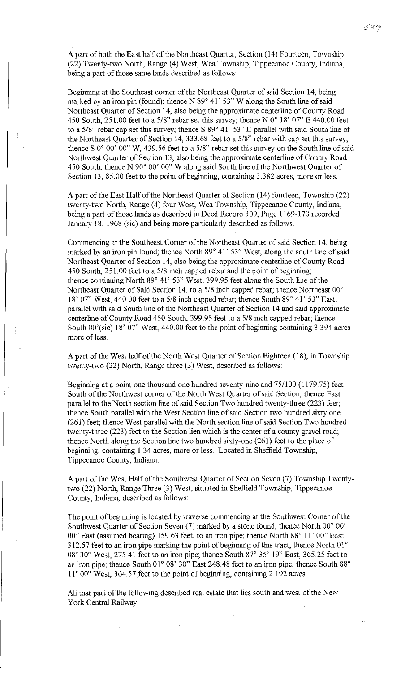A part of both the East half of the Northeast Quarter, Section (14) Fourteen, Township (22) Twenty-two North, Range (4) West, Wea Township, Tippecanoe County, Indiana, being a part of those same lands described as follows:

Beginning at the Southeast corner of the Northeast Quarter of said Section 14, being marked by an iron pin (found); thence N 89° 41' 53" W along the South line of said Northeast Quarter of Section 14, also being the approximate centerline of County Road 450 South, 251.00 feet to a 5/8" rebar set this survey; thence N 0° 18' 07" E 440.00 feet to a 5/8" rebar cap set this survey; thence S 89° 41' 53" E parallel with said South line of the Northeast Quarter of Section 14, 333.68 feet to a 5/8" rebar with cap set this survey; thence S 0° 00' 00" W, 439.56 feet to a 5/8" rebar set this survey on the South line of said Northwest Quarter of Section 13, also being the approximate centerline of County Road 450 South; thence N 90° 00' 00" W along said South line of the Northwest Quarter of Section 13, 85.00 feet to the point of beginning, containing 3.382 acres, more or less.

A part of the East Half of the Northeast Quarter of Section (14) fourteen, Township (22) twenty-two North, Range (4) four West, Wea Township, Tippecanoe County, Indiana, being a part of those lands as described in Deed Record 309, Page 1169-170 recorded January 18, 1968 (sic) and being more particularly described as follows:

Commencing at the Southeast Corner of the Northeast Quarter of said Section 14, being marked by an iron pin found; thence North 89° 41' 53" West, along the south line of said Northeast Quarter of Section 14, also being the approximate centerline of County Road 450 South, 251. 00 feet to a 5/8 inch capped rebar and the point of beginning; thence continuing North 89° 41' 53" West. 399.95 feet along the South line of the Northeast Quarter of Said Section 14, to a 5/8 inch capped rebar; thence Northeast 00° 18' 07'' West, 440.00 feet to a 5/8 inch capped rebar; thence South 89° 41' 53" East, parallel with said South line of the Northeast Quarter of Section 14 and said approximate centerline of County Road 450 South, 399.95 feet to a 5/8 inch capped rebar; thence South  $00'(sic)$  18' 07" West, 440.00 feet to the point of beginning containing 3.394 acres more of less.

A part of the West half of the North West Quarter of Section Eighteen (18), in Township twenty-two (22) North, Range three (3) West, described as follows:

Beginning at a point one thousand one hundred seventy-nine and 75/100 (1179.75) feet South of the Northwest corner of the North West Quarter of said Section; thence East parallel to the North section line of said Section Two hundred twenty-three (223) feet; thence South parallel with the West Section line of said Section two hundred sixty one (261) feet; thence West parallel with the North section line of said Section Two hundred twenty-three (223) feet to the Section lien which is the center of a county gravel road; thence North along the Section line two hundred sixty-one (261) feet to the place of beginning, containing 1.34 acres, more or less. Located in Sheffield Township, Tippecanoe County, Indiana.

A part of the West Half of the Southwest Quarter of Section Seven (7) Township Twentytwo (22) North, Range Three (3) West, situated in Sheffield Township, Tippecanoe County, Indiana, described as follows:

The point of beginning is located by traverse commencing at the Southwest Corner of the Southwest Quarter of Section Seven (7) marked by a stone found; thence North 00° 00' 00" East (assumed bearing) 159.63 feet, to an iron pipe; thence North 88° 11' 00" East 312.57 feet to an iron pipe marking the point of beginning of this tract, thence North  $01^{\circ}$ 08' 30" West, 275.41 feet to an iron pipe; thence South 87° 35' 19" East, 365.25 feet to an iron pipe; thence South 01° 08' 30" East 248.48 feet to an iron pipe; thence South 88° 11' 00" West, 364.57 feet to the point of beginning, containing 2.192 acres.

All that part of the following described real estate that lies south and west of the New York Central Railway: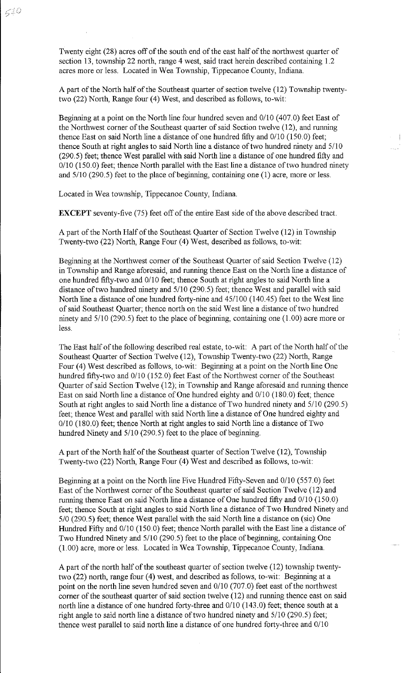Twenty eight (28) acres off of the south end of the east half of the northwest quarter of section 13, township 22 north, range 4 west, said tract herein described containing 1.2 acres more or less. Located in Wea Township, Tippecanoe County, Indiana.

A part of the North half of the Southeast quarter of section twelve (12) Township twentytwo (22) North, Range four (4) West, and described as follows, to-wit:

Beginning at a point on the North line four hundred seven and 0/10 (407.0) feet East of the Northwest corner of the Southeast quarter of said Section twelve (12), and running thence East on said North line a distance of one hundred fifty and 0/10 (150.0) feet; thence South at right angles to said North line a distance of two hundred ninety and 5/10 (290.5) feet; thence West parallel with said North line a distance of one hundred fifty and 0/10 (150.0) feet; thence North parallel with the East line a distance of two hundred ninety and  $5/10$  (290.5) feet to the place of beginning, containing one (1) acre, more or less.

Located in Wea township, Tippecanoe County, Indiana.

**EXCEPT** seventy-five (75) feet off of the entire East side of the above described tract.

A part of the North Half of the Southeast Quarter of Section Twelve (12) in Township Twenty-two (22) North, Range Four (4) West, described as follows, to-wit:

Beginning at the Northwest corner of the Southeast Quarter of said Section Twelve (12) in Township and Range aforesaid, and running thence East on the North line a distance of one hundred fifty-two and 0/10 feet; thence South at right angles to said North line a distance of two hundred ninety and 5/10 (290.5) feet; thence West and parallel with said North line a distance of one hundred forty-nine and 45/100 (140.45) feet to the West line of said Southeast Quarter; thence north on the said West line a distance of two hundred ninety and 5/10 (290.5) feet to the place of beginning, containing one (1.00) acre more or less.

The East half of the following described real estate, to-wit: A part of the North half of the Southeast Quarter of Section Twelve (12), Township Twenty-two (22) North, Range Four (4) West described as follows, to-wit: Beginning at a point on the North line One hundred fifty-two and 0/10 (152.0) feet East of the Northwest corner of the Southeast Quarter of said Section Twelve (12); in Township and Range aforesaid and running thence East on said North line a distance of One hundred eighty and 0/10 (180.0) feet; thence South at right angles to said North line a distance of Two hundred ninety and 5/10 (290.5) feet; thence West and parallel with said North line a distance of One hundred eighty and 0/10 (180.0) feet; thence North at right angles to said North line a distance of Two hundred Ninety and 5/10 (290.5) feet to the place of beginning.

A part of the North half of the Southeast quarter of Section Twelve (12), Township Twenty-two (22) North, Range Four (4) West and described as follows, to-wit:

Beginning at a point on the North line Five Hundred Fifty-Seven and 0/10 (557.0) feet East of the Northwest corner of the Southeast quarter of said Section Twelve (12) and running thence East on said North line a distance of One hundred fifty and 0/10 (150.0) feet; thence South at right angles to said North line a distance of Two Hundred Ninety and 510 (290.5) feet; thence West parallel with the said North line a distance on (sic) One Hundred Fifty and 0/10 (150.0) feet; thence North parallel with the East line a distance of Two Hundred Ninety and 5/10 (290.5) feet to the place of beginning, containing One (1.00) acre, more or less. Located in Wea Township, Tippecanoe County, Indiana.

A part of the north half of the southeast quarter of section twelve (12) township twentytwo (22) north, range four (4) west, and described as follows, to-wit: Beginning at a point on the north line seven hundred seven and 0/10 (707.0) feet east of the northwest corner of the southeast quarter of said section twelve (12) and running thence east on said north line a distance of one hundred forty-three and 0/10 (143.0) feet; thence south at a right angle to said north line a distance of two hundred ninety and 5/10 (290.5) feet; thence west parallel to said north line a distance of one hundred forty-three and 0/10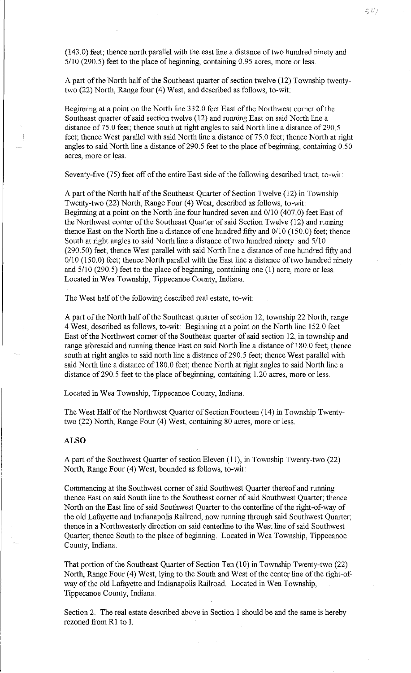(143.0) feet; thence north parallel with the east line a distance of two hundred ninety and 5/10 (290.5) feet to the place of beginning, containing 0.95 acres, more or less.

A part of the North half of the Southeast quarter of section twelve (12) Township twentytwo (22) North, Range four (4) West, and described as follows, to-wit:

Beginning at a point on the North line 332.0 feet East of the Northwest corner of the Southeast quarter of said section twelve (12) and running East on said North line a distance of 75.0 feet; thence south at right angles to said North line a distance of 290.5 feet; thence West parallel with said North line a distance of 75.0 feet; thence North at right angles to said North line a distance of 290.5 feet to the place of beginning, containing 0.50 acres, more or less.

Seventy-five (75) feet off of the entire East side of the following described tract, to-wit:

A part of the North half of the Southeast Quarter of Section Twelve (12) in Township Twenty-two (22) North, Range Four (4) West, described as follows, to-wit: Beginning at a point on the North line four hundred seven and 0/10 (407.0) feet East of the Northwest corner of the Southeast Quarter of said Section Twelve (12) and running thence East on the North line a distance of one hundred fifty and 0/10 (150.0) feet; thence South at right angles to said North line a distance of two hundred ninety and 5/10 (290.50) feet; thence West parallel with said North line a distance of one hundred fifty and 0/10 (150.0) feet; thence North parallel with the East line a distance of two hundred ninety and  $5/10$  (290.5) feet to the place of beginning, containing one (1) acre, more or less. Located in Wea Township, Tippecanoe County, Indiana.

The West half of the following described real estate, to-wit:

A part of the North half of the Southeast quarter of section 12, township 22 North, range 4 West, described as follows, to-wit: Beginning at a point on the North line 152.0 feet East of the Northwest corner of the Southeast quarter of said section 12, in township and range aforesaid and running thence East on said North line a distance of 180. 0 feet; thence south at right angles to said north line a distance of 290. 5 feet; thence West parallel with said North line a distance of 180.0 feet; thence North at right angles to said North line a distance of 290.5 feet to the place of beginning, containing 1.20 acres, more or less.

Located in Wea Township, Tippecanoe County, Indiana.

The West Half of the Northwest Quarter of Section Fourteen (14) in Township Twentytwo (22) North, Range Four (4) West, containing 80 acres, more or less.

### **ALSO**

A part of the Southwest Quarter of section Eleven (11 ), in Township Twenty-two (22) North, Range Four (4) West, bounded as follows, to-wit:

Commencing at the Southwest corner of said Southwest Quarter thereof and running thence East on said South line to the Southeast corner of said Southwest Quarter; thence North on the East line of said Southwest Quarter to the centerline of the right-of-way of the old Lafayette and Indianapolis Railroad, now running through said Southwest Quarter; thence in a Northwesterly direction on said centerline to the West line of said Southwest Quarter; thence South to the place of beginning. Located in Wea Township, Tippecanoe County, Indiana.

That portion of the Southeast Quarter of Section Ten (10) in Township Twenty-two (22) North, Range Four (4) West, lying to the South and West of the center line of the right-ofway of the old Lafayette and Indianapolis Railroad. Located in Wea Township, Tippecanoe County, Indiana.

Section 2. The real estate described above in Section 1 should be and the same is hereby rezoned from Rl to I.